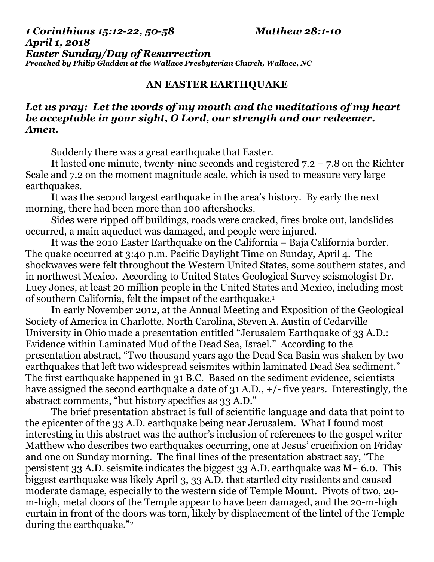## *1 Corinthians 15:12-22, 50-58 Matthew 28:1-10 April 1, 2018 Easter Sunday/Day of Resurrection Preached by Philip Gladden at the Wallace Presbyterian Church, Wallace, NC*

## **AN EASTER EARTHQUAKE**

## *Let us pray: Let the words of my mouth and the meditations of my heart be acceptable in your sight, O Lord, our strength and our redeemer. Amen.*

Suddenly there was a great earthquake that Easter.

It lasted one minute, twenty-nine seconds and registered 7.2 – 7.8 on the Richter Scale and 7.2 on the moment magnitude scale, which is used to measure very large earthquakes.

It was the second largest earthquake in the area's history. By early the next morning, there had been more than 100 aftershocks.

Sides were ripped off buildings, roads were cracked, fires broke out, landslides occurred, a main aqueduct was damaged, and people were injured.

It was the 2010 Easter Earthquake on the California – Baja California border. The quake occurred at 3:40 p.m. Pacific Daylight Time on Sunday, April 4. The shockwaves were felt throughout the Western United States, some southern states, and in northwest Mexico. According to United States Geological Survey seismologist Dr. Lucy Jones, at least 20 million people in the United States and Mexico, including most of southern California, felt the impact of the earthquake.<sup>1</sup>

In early November 2012, at the Annual Meeting and Exposition of the Geological Society of America in Charlotte, North Carolina, Steven A. Austin of Cedarville University in Ohio made a presentation entitled "Jerusalem Earthquake of 33 A.D.: Evidence within Laminated Mud of the Dead Sea, Israel." According to the presentation abstract, "Two thousand years ago the Dead Sea Basin was shaken by two earthquakes that left two widespread seismites within laminated Dead Sea sediment." The first earthquake happened in 31 B.C. Based on the sediment evidence, scientists have assigned the second earthquake a date of 31 A.D.,  $+/-$  five years. Interestingly, the abstract comments, "but history specifies as 33 A.D."

The brief presentation abstract is full of scientific language and data that point to the epicenter of the 33 A.D. earthquake being near Jerusalem. What I found most interesting in this abstract was the author's inclusion of references to the gospel writer Matthew who describes two earthquakes occurring, one at Jesus' crucifixion on Friday and one on Sunday morning. The final lines of the presentation abstract say, "The persistent 33 A.D. seismite indicates the biggest 33 A.D. earthquake was  $M \sim 6.0$ . This biggest earthquake was likely April 3, 33 A.D. that startled city residents and caused moderate damage, especially to the western side of Temple Mount. Pivots of two, 20 m-high, metal doors of the Temple appear to have been damaged, and the 20-m-high curtain in front of the doors was torn, likely by displacement of the lintel of the Temple during the earthquake."<sup>2</sup>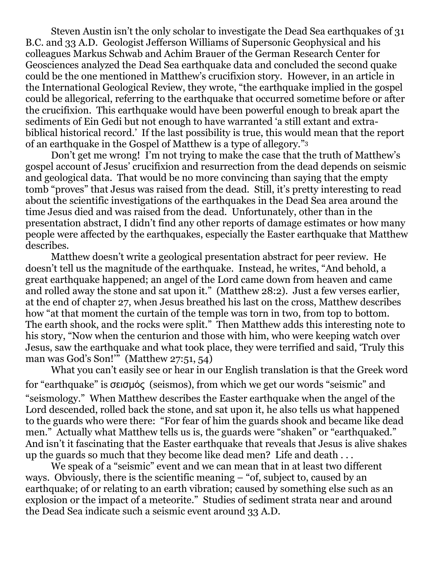Steven Austin isn't the only scholar to investigate the Dead Sea earthquakes of 31 B.C. and 33 A.D. Geologist Jefferson Williams of Supersonic Geophysical and his colleagues Markus Schwab and Achim Brauer of the German Research Center for Geosciences analyzed the Dead Sea earthquake data and concluded the second quake could be the one mentioned in Matthew's crucifixion story. However, in an article in the International Geological Review, they wrote, "the earthquake implied in the gospel could be allegorical, referring to the earthquake that occurred sometime before or after the crucifixion. This earthquake would have been powerful enough to break apart the sediments of Ein Gedi but not enough to have warranted 'a still extant and extrabiblical historical record.' If the last possibility is true, this would mean that the report of an earthquake in the Gospel of Matthew is a type of allegory."<sup>3</sup>

Don't get me wrong! I'm not trying to make the case that the truth of Matthew's gospel account of Jesus' crucifixion and resurrection from the dead depends on seismic and geological data. That would be no more convincing than saying that the empty tomb "proves" that Jesus was raised from the dead. Still, it's pretty interesting to read about the scientific investigations of the earthquakes in the Dead Sea area around the time Jesus died and was raised from the dead. Unfortunately, other than in the presentation abstract, I didn't find any other reports of damage estimates or how many people were affected by the earthquakes, especially the Easter earthquake that Matthew describes.

Matthew doesn't write a geological presentation abstract for peer review. He doesn't tell us the magnitude of the earthquake. Instead, he writes, "And behold, a great earthquake happened; an angel of the Lord came down from heaven and came and rolled away the stone and sat upon it." (Matthew 28:2). Just a few verses earlier, at the end of chapter 27, when Jesus breathed his last on the cross, Matthew describes how "at that moment the curtain of the temple was torn in two, from top to bottom. The earth shook, and the rocks were split." Then Matthew adds this interesting note to his story, "Now when the centurion and those with him, who were keeping watch over Jesus, saw the earthquake and what took place, they were terrified and said, 'Truly this man was God's Son!'" (Matthew 27:51, 54)

What you can't easily see or hear in our English translation is that the Greek word for "earthquake" is σεισμός (seismos), from which we get our words "seismic" and "seismology." When Matthew describes the Easter earthquake when the angel of the Lord descended, rolled back the stone, and sat upon it, he also tells us what happened to the guards who were there: "For fear of him the guards shook and became like dead men." Actually what Matthew tells us is, the guards were "shaken" or "earthquaked." And isn't it fascinating that the Easter earthquake that reveals that Jesus is alive shakes up the guards so much that they become like dead men? Life and death . . .

We speak of a "seismic" event and we can mean that in at least two different ways. Obviously, there is the scientific meaning – "of, subject to, caused by an earthquake; of or relating to an earth vibration; caused by something else such as an explosion or the impact of a meteorite." Studies of sediment strata near and around the Dead Sea indicate such a seismic event around 33 A.D.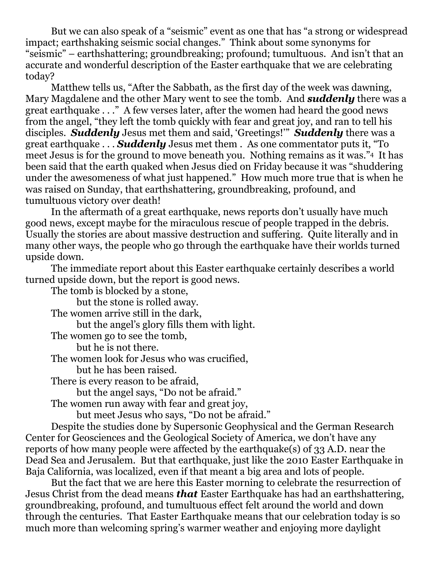But we can also speak of a "seismic" event as one that has "a strong or widespread impact; earthshaking seismic social changes." Think about some synonyms for "seismic" – earthshattering; groundbreaking; profound; tumultuous. And isn't that an accurate and wonderful description of the Easter earthquake that we are celebrating today?

Matthew tells us, "After the Sabbath, as the first day of the week was dawning, Mary Magdalene and the other Mary went to see the tomb. And *suddenly* there was a great earthquake . . ." A few verses later, after the women had heard the good news from the angel, "they left the tomb quickly with fear and great joy, and ran to tell his disciples. *Suddenly* Jesus met them and said, 'Greetings!'" *Suddenly* there was a great earthquake . . . *Suddenly* Jesus met them . As one commentator puts it, "To meet Jesus is for the ground to move beneath you. Nothing remains as it was."4 It has been said that the earth quaked when Jesus died on Friday because it was "shuddering under the awesomeness of what just happened." How much more true that is when he was raised on Sunday, that earthshattering, groundbreaking, profound, and tumultuous victory over death!

In the aftermath of a great earthquake, news reports don't usually have much good news, except maybe for the miraculous rescue of people trapped in the debris. Usually the stories are about massive destruction and suffering. Quite literally and in many other ways, the people who go through the earthquake have their worlds turned upside down.

The immediate report about this Easter earthquake certainly describes a world turned upside down, but the report is good news.

The tomb is blocked by a stone,

but the stone is rolled away. The women arrive still in the dark, but the angel's glory fills them with light. The women go to see the tomb, but he is not there. The women look for Jesus who was crucified, but he has been raised. There is every reason to be afraid, but the angel says, "Do not be afraid." The women run away with fear and great joy, but meet Jesus who says, "Do not be afraid." Despite the studies done by Supersonic Geophysical and the German Research

Center for Geosciences and the Geological Society of America, we don't have any reports of how many people were affected by the earthquake(s) of 33 A.D. near the Dead Sea and Jerusalem. But that earthquake, just like the 2010 Easter Earthquake in Baja California, was localized, even if that meant a big area and lots of people.

But the fact that we are here this Easter morning to celebrate the resurrection of Jesus Christ from the dead means *that* Easter Earthquake has had an earthshattering, groundbreaking, profound, and tumultuous effect felt around the world and down through the centuries. That Easter Earthquake means that our celebration today is so much more than welcoming spring's warmer weather and enjoying more daylight